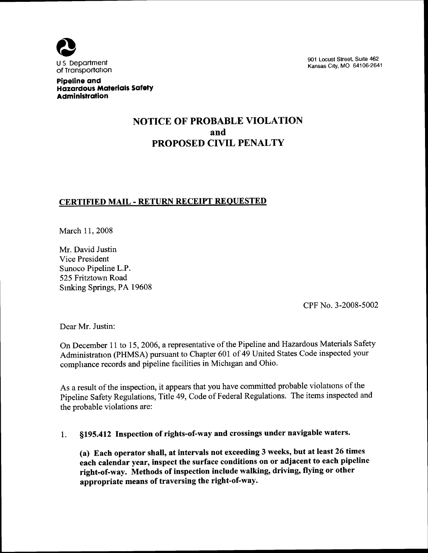

901 Locust Street, Suite 462 Kansas City, MO 64106-2641

Pipeline and Hazardous Materials Safety Administration

# NOTICE OF PROBABLE VIOLATION and PROPOSED CIVIL PENALTY

## CERTIFIED MAIL - RETURN RECEIPT REQUESTED

March 11, 2008

Mr. David Justin Vice President Sunoco Pipeline L.P. 525 Fritztown Road Smking Springs, PA 19608

CPF No. 3-2008-5002

Dear Mr. Justin:

On December 11 to 15, 2006, a representative of the Pipeline and Hazardous Materials Safety Administration (PHMSA) pursuant to Chapter 601 of 49 United States Code inspected your comphance records and pipeline facilities in Michigan and Ohio.

As a result of the inspection, it appears that you have committed probable violations of the Pipeline Safety Regulations, Title 49, Code of Federal Regulations. The items inspected and the probable violations are:

# 1. \$195. 412 Inspection of rights-of-way and crossings under navigable waters.

(a) Each operator shall, at intervals not exceeding 3 weeks, but at least 26 times each calendar year, inspect the surface conditions on or adjacent to each pipeline right-of-way. Methods of inspection include walking, driving, flying or other appropriate means of traversing the right-of-way.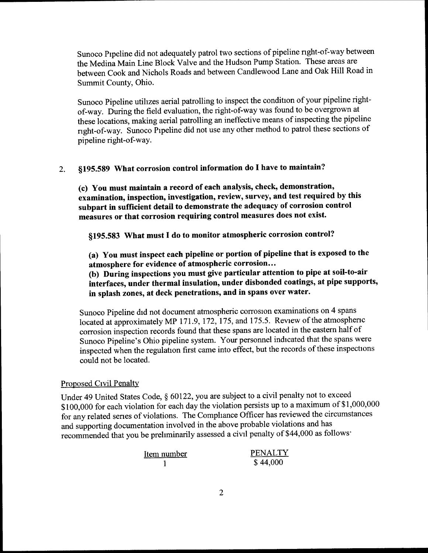Sunoco Pipeline did not adequately patrol two sections of pipeline right-of-way between the Medina Main Line Block Valve and the Hudson Pump Station. These areas are between Cook and Nichols Roads and between Candlewood Lane and Oak Hill Road in Summit County, Ohio.

Sunoco Pipeline utihzes aerial patrolling to inspect the condition of your pipeline right of-way. During the field evaluation, the right-of-way was found to be overgrown at these locations, making aerial patrolling an ineffective means of inspecting the pipeline right-of-way. Sunoco Pipeline did not use any other method to patrol these sections of pipeline right-of-way.

# 2. §195.589 What corrosion control information do I have to maintain?

(c) You must maintain a record of each analysis, check, demonstration, (c) Tou must maintain a record of each analysis, shoot, summarily by this examination, inspection, investigation, review, survey, and test required by this subpart in sufficient detail to demonstrate the adequacy of corrosion control measures or that corrosion requiring control measures does not exist.

§195.583 What must I do to monitor atmospheric corrosion control?

(a) You must inspect each pipeline or portion of pipeline that is exposed to the atmosphere for evidence of atmospheric corrosion. . .

(b) During inspections you must give particular attention to pipe at soil-to-air interfaces, under thermal insulation, under disbonded coatings, at pipe supports, in splash zones, at deck penetrations, and in spans over water.

Sunoco Pipeline did not document atmospheric corrosion examinations on 4 spans located at approximately MP 171.9, 172, 175, and 175.5. Review of the atmospheric corrosion inspection records found that these spans are located in the eastern half of Sunoco Pipeline's Ohio pipeline system. Your personnel indicated that the spans were inspected when the regulation first came into effect, but the records of these inspections could not be located.

#### Proposed Civil Penalty

Under 49 United States Code, § 60122, you are subject to a civil penalty not to exceed \$100,000 for each violation for each day the violation persists up to a maximum of \$1,000,000 for any related series of violations. The Compliance Officer has reviewed the circumstance and supporting documentation involved in the above probable violations and has recommended that you be prehminarily assessed a civil penalty of \$44, 000 as follows

| Item number | <b>PENALTY</b> |
|-------------|----------------|
|             | \$44,000       |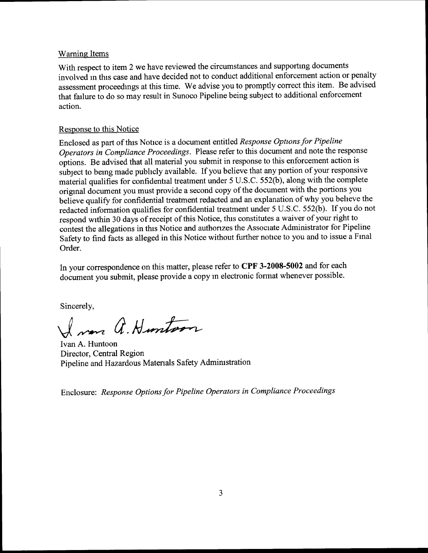#### **Warning Items**

With respect to item 2 we have reviewed the circumstances and supporting documents involved in this case and have decided not to conduct additional enforcement action or penalty assessment proceedings at this time. We advise you to promptly correct this item. Be advised that failure to do so may result in Sunoco Pipeline being subject to additional enforcement action.

#### Response to this Notice

Enclosed as part of this Notice is a document entitled Response Options for Pipeline Operators in Compliance Proceedings. Please refer to this document and note the response options. Be advised that all material you submit in response to this enforcement action is subject to being made pubhcly available. If you believe that any portion of your responsive material qualifies for confidential treatment under 5 U.S.C. 552(b), along with the complete original document you must provide a second copy of the document with the portions you believe qualify for confidential treatment redacted and an explanation of why you beheve the redacted information qualifies for confidential treatment under 5 U.S.C. 552(b). If you do not respond within 30 days of receipt of this Notice, this constitutes a waiver of your right to contest the allegations in this Notice and authorizes the Associate Administrator for Pipeline Safety to find facts as alleged in this Notice without further notice to you and to issue a Final Order.

In your correspondence on this matter, please refer to CPF 3-2008-5002 and for each document you submit, please provide a copy m electronic format whenever possible.

Sincerely,

I was a. Huntoon

Ivan A. Huntoon Director, Central Region Pipeline and Hazardous Materials Safety Administration

Enclosure: Response Options for Pipeline Operators in Compliance Proceedings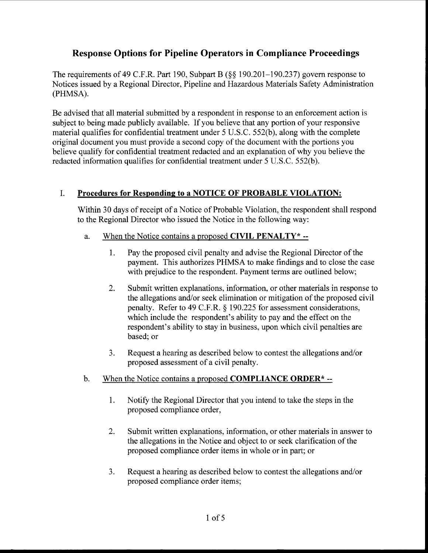# Response Options for Pipeline Operators in Compliance Proceedings

The requirements of 49 C.F.R. Part 190, Subpart B ( $\S$ § 190.201–190.237) govern response to Notices issued by a Regional Director, Pipeline and Hazardous Materials Safety Administration (PHMSA).

Be advised that all material submitted by a respondent in response to an enforcement action is subject to being made publicly available. If you believe that any portion of your responsive material qualifies for confidential treatment under 5 U.S.C. 552(b), along with the complete original document you must provide a second copy of the document with the portions you believe qualify for confidential treatment redacted and an explanation of why you believe the redacted information qualifies for confidential treatment under 5 U.S.C. 552(b).

## I. Procedures for Responding to a NOTICE OF PROBABLE VIOLATION:

Within 30 days of receipt of a Notice of Probable Violation, the respondent shall respond to the Regional Director who issued the Notice in the following way:

- a. When the Notice contains a proposed CIVIL PENALTY  $*$  --
	- 1. Pay the proposed civil penalty and advise the Regional Director of the payment. This authorizes PHMSA to make findings and to close the case with prejudice to the respondent. Payment terms are outlined below;
	- 2. Submit written explanations, information, or other materials in response to the allegations and/or seek elimination or mitigation of the proposed civil penalty. Refer to 49 C.F.R.  $\S$  190.225 for assessment considerations, which include the respondent's ability to pay and the effect on the respondent's ability to stay in business, upon which civil penalties are based; or
	- 3. Request a hearing as described below to contest the allegations and/or proposed assessment of a civil penalty.
- b. When the Notice contains a proposed **COMPLIANCE ORDER**\*-
	- 1. Notify the Regional Director that you intend to take the steps in the proposed compliance order,
	- 2. Submit written explanations, information, or other materials in answer to the allegations in the Notice and object to or seek clarification of the proposed compliance order items in whole or in part; or
	- 3. Request a hearing as described below to contest the allegations and/or proposed compliance order items;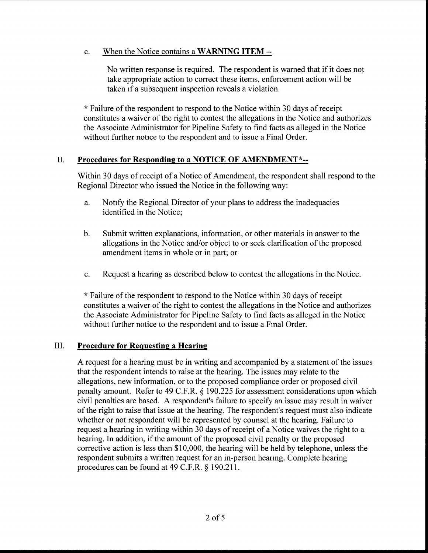### c. When the Notice contains a WARNING ITEM --

No written response is required. The respondent is warned that if it does not take appropriate action to correct these items, enforcement action will be taken if a subsequent inspection reveals a violation.

\* Failure of the respondent to respond to the Notice within 30 days of receipt constitutes a waiver of the right to contest the allegations in the Notice and authorizes the Associate Administrator for Pipeline Safety to find facts as alleged in the Notice without further notice to the respondent and to issue a Final Order.

#### II. Procedures for Responding to a NOTICE OF AMENDMENT\*--

Within 30 days of receipt of a Notice of Amendment, the respondent shall respond to the Regional Director who issued the Notice in the following way:

- a. Notify the Regional Director of your plans to address the inadequacies identified in the Notice;
- b. Submit written explanations, information, or other materials in answer to the allegations in the Notice and/or object to or seek clarification of the proposed amendment items in whole or in part; or
- c. Request a hearing as described below to contest the allegations in the Notice.

\* Failure of the respondent to respond to the Notice within 30 days of receipt constitutes a waiver of the right to contest the allegations in the Notice and authorizes the Associate Administrator for Pipeline Safety to find facts as alleged in the Notice without further notice to the respondent and to issue a Final Order.

#### III. Procedure for Requesting a Hearing

A request for a hearing must be in writing and accompanied by a statement of the issues that the respondent intends to raise at the hearing. The issues may relate to the allegations, new information, or to the proposed compliance order or proposed civil penalty amount. Refer to 49 C.F.R. § 190.225 for assessment considerations upon which civil penalties are based. A respondent's failure to specify an issue may result in waiver of the right to raise that issue at the hearing. The respondent's request must also indicate whether or not respondent will be represented by counsel at the hearing. Failure to request a hearing in writing within 30 days of receipt of a Notice waives the right to a hearing. In addition, if the amount of the proposed civil penalty or the proposed corrective action is less than \$10, 000, the hearing will be held by telephone, unless the respondent submits a written request for an in-person hearing. Complete hearing procedures can be found at  $49$  C.F.R.  $\S$  190.211.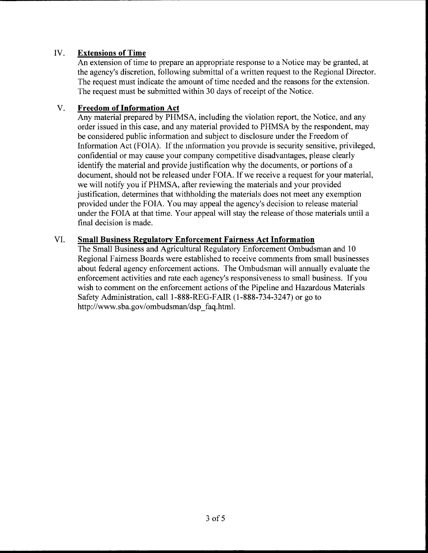#### IV. Extensions of Time

An extension of time to prepare an appropriate response to a Notice may be granted, at the agency's discretion, following submittal of a written request to the Regional Director. The request must indicate the amount of time needed and the reasons for the extension. The request must be submitted within 30 days of receipt of the Notice.

#### V. Freedom of Information Act

Any material prepared by PHMSA, including the violation report, the Notice, and any order issued in this case, and any material provided to PHMSA by the respondent, may be considered public information and subject to disclosure under the Freedom of Information Act (FOIA). If the information you provide is security sensitive, privileged, confidential or may cause your company competitive disadvantages, please clearly identify the material and provide justification why the documents, or portions of a document, should not be released under FOIA. If we receive a request for your material, we will notify you if PHMSA, after reviewing the materials and your provided justification, determines that withholding the materials does not meet any exemption provided under the FOIA. You may appeal the agency's decision to release material under the FOIA at that time. Your appeal will stay the release of those materials until a final decision is made.

### VI. Small Business Regulatory Enforcement Fairness Act Information

The Small Business and Agricultural Regulatory Enforcement Ombudsman and 10 Regional Fairness Boards were established to receive comments from small businesses about federal agency enforcement actions. The Ombudsman will annually evaluate the enforcement activities and rate each agency's responsiveness to small business. If you wish to comment on the enforcement actions of the Pipeline and Hazardous Materials Safety Administration, call I-888-REG-FAIR (1-888-734-3247) or go to http: //www. sba. gov/ombudsman/dsp faq. html.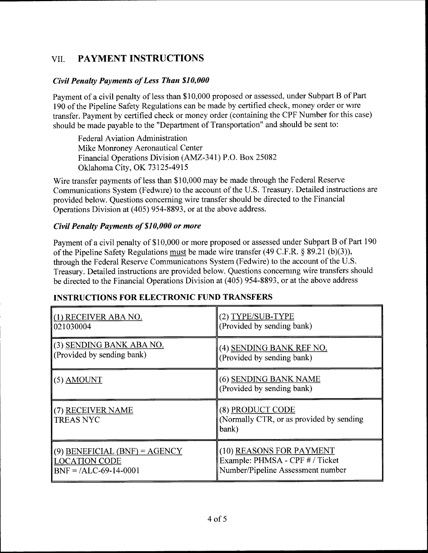# VII. PAYMENT INSTRUCTIONS

#### Civil Penalty Payments of Less Than \$10, 000

Payment of a civil penalty of less than \$10, 000 proposed or assessed, under Subpart B of Part 190 of the Pipeline Safety Regulations can be made by certified check, money order or wire transfer. Payment by certified check or money order (containing the CPF Number for this case) should be made payable to the "Department of Transportation" and should be sent to:

Federal Aviation Administration Mike Monroney Aeronautical Center Financial Operations Division (AMZ-341) P.O. Box 25082 Oklahoma City, OK 73125-4915

Wire transfer payments of less than \$10, 000 may be made through the Federal Reserve Communications System (Fedwire) to the account of the U. S. Treasury. Detailed instructions are provided below. Questions concerning wire transfer should be directed to the Financial Operations Division at (405) 954-8893, or at the above address.

#### Civil Penalty Payments of \$10, 000 or more

Payment of a civil penalty of \$10, 000 or more proposed or assessed under Subpart B of Part 190 of the Pipeline Safety Regulations must be made wire transfer  $(49 \text{ C.F.R.} \S 89.21 \text{ (b)}(3))$ , through the Federal Reserve Communications System (Fedwire) to the account of the U. S. Treasury. Detailed instructions are provided below. Questions concernmg wire transfers should be directed to the Financial Operations Division at (405) 954-8893, or at the above address

## INSTRUCTIONS FOR ELECTRONIC FUND TRANSFERS

| (1) RECEIVER ABA NO.                  | (2) TYPE/SUB-TYPE                                                      |
|---------------------------------------|------------------------------------------------------------------------|
| 021030004                             | (Provided by sending bank)                                             |
| (3) SENDING BANK ABA NO.              | (4) SENDING BANK REF NO.                                               |
| (Provided by sending bank)            | (Provided by sending bank)                                             |
| $(5)$ AMOUNT                          | (6) SENDING BANK NAME<br>(Provided by sending bank)                    |
| (7) RECEIVER NAME<br><b>TREAS NYC</b> | (8) PRODUCT CODE<br>(Normally CTR, or as provided by sending)<br>bank) |
| $(9)$ BENEFICIAL (BNF) = AGENCY       | (10) REASONS FOR PAYMENT                                               |
| <b>LOCATION CODE</b>                  | Example: PHMSA - CPF # / Ticket                                        |
| $BNF = /ALC-69-14-0001$               | Number/Pipeline Assessment number                                      |